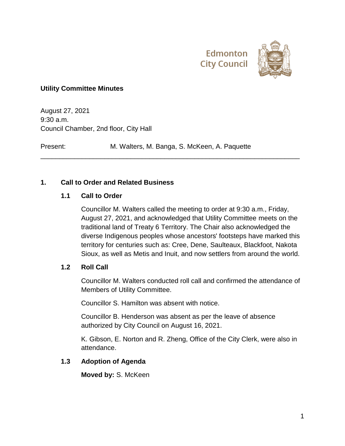



#### **Utility Committee Minutes**

August 27, 2021 9:30 a.m. Council Chamber, 2nd floor, City Hall

Present: M. Walters, M. Banga, S. McKeen, A. Paquette

\_\_\_\_\_\_\_\_\_\_\_\_\_\_\_\_\_\_\_\_\_\_\_\_\_\_\_\_\_\_\_\_\_\_\_\_\_\_\_\_\_\_\_\_\_\_\_\_\_\_\_\_\_\_\_\_\_\_\_\_\_\_\_\_\_\_\_\_\_

#### **1. Call to Order and Related Business**

#### **1.1 Call to Order**

Councillor M. Walters called the meeting to order at 9:30 a.m., Friday, August 27, 2021, and acknowledged that Utility Committee meets on the traditional land of Treaty 6 Territory. The Chair also acknowledged the diverse Indigenous peoples whose ancestors' footsteps have marked this territory for centuries such as: Cree, Dene, Saulteaux, Blackfoot, Nakota Sioux, as well as Metis and Inuit, and now settlers from around the world.

#### **1.2 Roll Call**

Councillor M. Walters conducted roll call and confirmed the attendance of Members of Utility Committee.

Councillor S. Hamilton was absent with notice.

Councillor B. Henderson was absent as per the leave of absence authorized by City Council on August 16, 2021.

K. Gibson, E. Norton and R. Zheng, Office of the City Clerk, were also in attendance.

#### **1.3 Adoption of Agenda**

**Moved by:** S. McKeen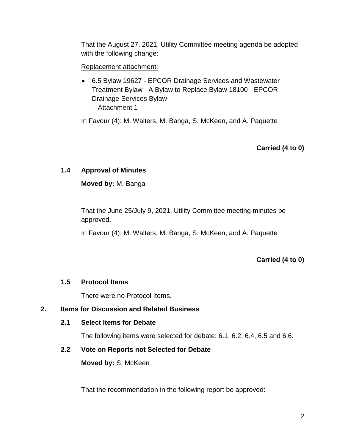That the August 27, 2021, Utility Committee meeting agenda be adopted with the following change:

### Replacement attachment:

 6.5 Bylaw 19627 - EPCOR Drainage Services and Wastewater Treatment Bylaw - A Bylaw to Replace Bylaw 18100 - EPCOR Drainage Services Bylaw - Attachment 1

In Favour (4): M. Walters, M. Banga, S. McKeen, and A. Paquette

# **Carried (4 to 0)**

### **1.4 Approval of Minutes**

**Moved by:** M. Banga

That the June 25/July 9, 2021, Utility Committee meeting minutes be approved.

In Favour (4): M. Walters, M. Banga, S. McKeen, and A. Paquette

**Carried (4 to 0)**

#### **1.5 Protocol Items**

There were no Protocol Items.

### **2. Items for Discussion and Related Business**

#### **2.1 Select Items for Debate**

The following items were selected for debate: 6.1, 6.2, 6.4, 6.5 and 6.6.

#### **2.2 Vote on Reports not Selected for Debate**

**Moved by:** S. McKeen

That the recommendation in the following report be approved: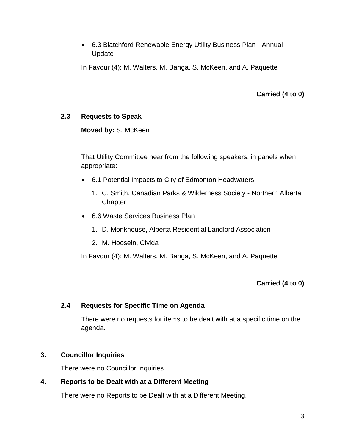6.3 Blatchford Renewable Energy Utility Business Plan - Annual Update

In Favour (4): M. Walters, M. Banga, S. McKeen, and A. Paquette

**Carried (4 to 0)**

### **2.3 Requests to Speak**

**Moved by:** S. McKeen

That Utility Committee hear from the following speakers, in panels when appropriate:

- 6.1 Potential Impacts to City of Edmonton Headwaters
	- 1. C. Smith, Canadian Parks & Wilderness Society Northern Alberta **Chapter**
- 6.6 Waste Services Business Plan
	- 1. D. Monkhouse, Alberta Residential Landlord Association
	- 2. M. Hoosein, Civida

In Favour (4): M. Walters, M. Banga, S. McKeen, and A. Paquette

**Carried (4 to 0)**

### **2.4 Requests for Specific Time on Agenda**

There were no requests for items to be dealt with at a specific time on the agenda.

### **3. Councillor Inquiries**

There were no Councillor Inquiries.

### **4. Reports to be Dealt with at a Different Meeting**

There were no Reports to be Dealt with at a Different Meeting.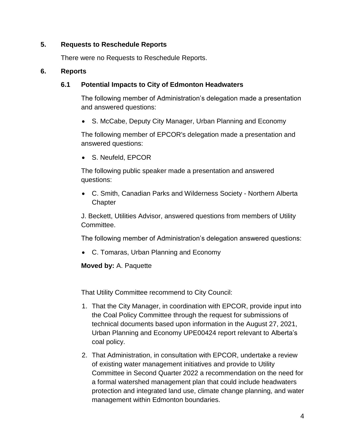### **5. Requests to Reschedule Reports**

There were no Requests to Reschedule Reports.

#### **6. Reports**

## **6.1 Potential Impacts to City of Edmonton Headwaters**

The following member of Administration's delegation made a presentation and answered questions:

• S. McCabe, Deputy City Manager, Urban Planning and Economy

The following member of EPCOR's delegation made a presentation and answered questions:

S. Neufeld, EPCOR

The following public speaker made a presentation and answered questions:

 C. Smith, Canadian Parks and Wilderness Society - Northern Alberta **Chapter** 

J. Beckett, Utilities Advisor, answered questions from members of Utility Committee.

The following member of Administration's delegation answered questions:

C. Tomaras, Urban Planning and Economy

**Moved by:** A. Paquette

That Utility Committee recommend to City Council:

- 1. That the City Manager, in coordination with EPCOR, provide input into the Coal Policy Committee through the request for submissions of technical documents based upon information in the August 27, 2021, Urban Planning and Economy UPE00424 report relevant to Alberta's coal policy.
- 2. That Administration, in consultation with EPCOR, undertake a review of existing water management initiatives and provide to Utility Committee in Second Quarter 2022 a recommendation on the need for a formal watershed management plan that could include headwaters protection and integrated land use, climate change planning, and water management within Edmonton boundaries.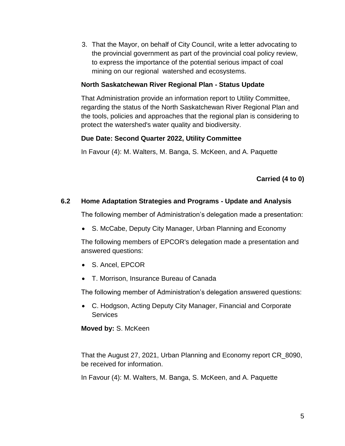3. That the Mayor, on behalf of City Council, write a letter advocating to the provincial government as part of the provincial coal policy review, to express the importance of the potential serious impact of coal mining on our regional watershed and ecosystems.

### **North Saskatchewan River Regional Plan - Status Update**

That Administration provide an information report to Utility Committee, regarding the status of the North Saskatchewan River Regional Plan and the tools, policies and approaches that the regional plan is considering to protect the watershed's water quality and biodiversity.

### **Due Date: Second Quarter 2022, Utility Committee**

In Favour (4): M. Walters, M. Banga, S. McKeen, and A. Paquette

**Carried (4 to 0)**

### **6.2 Home Adaptation Strategies and Programs - Update and Analysis**

The following member of Administration's delegation made a presentation:

S. McCabe, Deputy City Manager, Urban Planning and Economy

The following members of EPCOR's delegation made a presentation and answered questions:

- S. Ancel, EPCOR
- T. Morrison, Insurance Bureau of Canada

The following member of Administration's delegation answered questions:

 C. Hodgson, Acting Deputy City Manager, Financial and Corporate **Services** 

**Moved by:** S. McKeen

That the August 27, 2021, Urban Planning and Economy report CR\_8090, be received for information.

In Favour (4): M. Walters, M. Banga, S. McKeen, and A. Paquette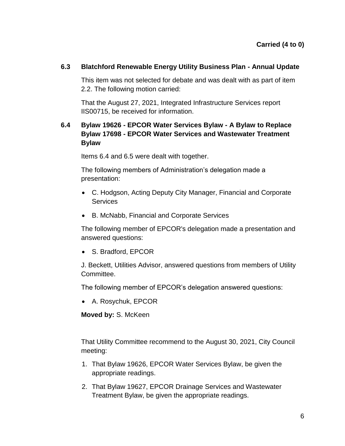### **6.3 Blatchford Renewable Energy Utility Business Plan - Annual Update**

This item was not selected for debate and was dealt with as part of item 2.2. The following motion carried:

That the August 27, 2021, Integrated Infrastructure Services report IIS00715, be received for information.

# **6.4 Bylaw 19626 - EPCOR Water Services Bylaw - A Bylaw to Replace Bylaw 17698 - EPCOR Water Services and Wastewater Treatment Bylaw**

Items 6.4 and 6.5 were dealt with together.

The following members of Administration's delegation made a presentation:

- C. Hodgson, Acting Deputy City Manager, Financial and Corporate **Services**
- B. McNabb, Financial and Corporate Services

The following member of EPCOR's delegation made a presentation and answered questions:

• S. Bradford, EPCOR

J. Beckett, Utilities Advisor, answered questions from members of Utility Committee.

The following member of EPCOR's delegation answered questions:

A. Rosychuk, EPCOR

**Moved by:** S. McKeen

That Utility Committee recommend to the August 30, 2021, City Council meeting:

- 1. That Bylaw 19626, EPCOR Water Services Bylaw, be given the appropriate readings.
- 2. That Bylaw 19627, EPCOR Drainage Services and Wastewater Treatment Bylaw, be given the appropriate readings.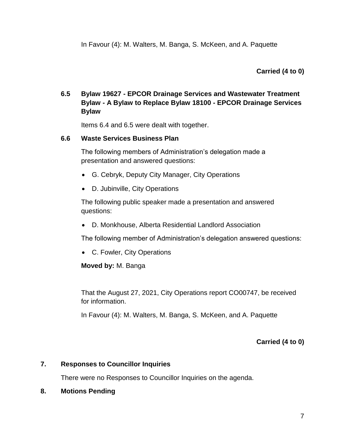**Carried (4 to 0)**

# **6.5 Bylaw 19627 - EPCOR Drainage Services and Wastewater Treatment Bylaw - A Bylaw to Replace Bylaw 18100 - EPCOR Drainage Services Bylaw**

Items 6.4 and 6.5 were dealt with together.

#### **6.6 Waste Services Business Plan**

The following members of Administration's delegation made a presentation and answered questions:

- G. Cebryk, Deputy City Manager, City Operations
- D. Jubinville, City Operations

The following public speaker made a presentation and answered questions:

D. Monkhouse, Alberta Residential Landlord Association

The following member of Administration's delegation answered questions:

C. Fowler, City Operations

**Moved by:** M. Banga

That the August 27, 2021, City Operations report CO00747, be received for information.

In Favour (4): M. Walters, M. Banga, S. McKeen, and A. Paquette

**Carried (4 to 0)**

#### **7. Responses to Councillor Inquiries**

There were no Responses to Councillor Inquiries on the agenda.

**8. Motions Pending**